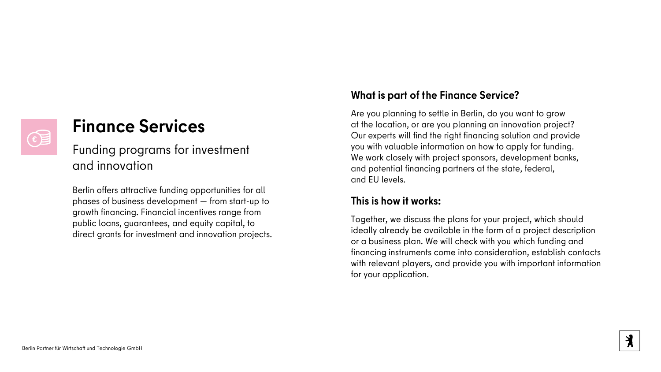## **Finance Services**

Funding programs for investment and innovation

Berlin offers attractive funding opportunities for all phases of business development — from start-up to growth financing. Financial incentives range from public loans, guarantees, and equity capital, to direct grants for investment and innovation projects.

## **What is part of the Finance Service?**

Are you planning to settle in Berlin, do you want to grow at the location, or are you planning an innovation project? Our experts will find the right financing solution and provide you with valuable information on how to apply for funding. We work closely with project sponsors, development banks, and potential financing partners at the state, federal, and EU levels.

### **This is how it works:**

Together, we discuss the plans for your project, which should ideally already be available in the form of a project description or a business plan. We will check with you which funding and financing instruments come into consideration, establish contacts with relevant players, and provide you with important information for your application.